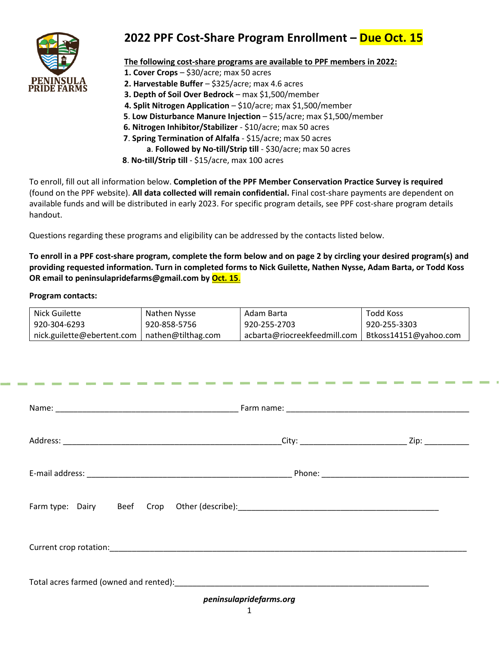

# **2022 PPF Cost-Share Program Enrollment – Due Oct. 15**

### **The following cost-share programs are available to PPF members in 2022:**

- **1. Cover Crops**  \$30/acre; max 50 acres
- **2. Harvestable Buffer**  \$325/acre; max 4.6 acres
- **3. Depth of Soil Over Bedrock**  max \$1,500/member
- **4. Split Nitrogen Application**  \$10/acre; max \$1,500/member
- **5**. **Low Disturbance Manure Injection** \$15/acre; max \$1,500/member
- **6. Nitrogen Inhibitor/Stabilizer** \$10/acre; max 50 acres
- **7**. **Spring Termination of Alfalfa** \$15/acre; max 50 acres
	- **a**. **Followed by No-till/Strip till** \$30/acre; max 50 acres
- **8**. **No-till/Strip till**  \$15/acre, max 100 acres

To enroll, fill out all information below. **Completion of the PPF Member Conservation Practice Survey is required**  (found on the PPF website). **All data collected will remain confidential.** Final cost-share payments are dependent on available funds and will be distributed in early 2023. For specific program details, see PPF cost-share program details handout.

Questions regarding these programs and eligibility can be addressed by the contacts listed below.

**To enroll in a PPF cost-share program, complete the form below and on page 2 by circling your desired program(s) and providing requested information. Turn in completed forms to Nick Guilette, Nathen Nysse, Adam Barta, or Todd Koss OR email to peninsulapridefarms@gmail.com by Oct. 15**.

#### **Program contacts:**

| <b>Nick Guilette</b>                                                                                                                                                                                                           | Nathen Nysse       | Adam Barta                                                                       | <b>Todd Koss</b>      |  |  |  |  |  |
|--------------------------------------------------------------------------------------------------------------------------------------------------------------------------------------------------------------------------------|--------------------|----------------------------------------------------------------------------------|-----------------------|--|--|--|--|--|
| 920-304-6293                                                                                                                                                                                                                   | 920-858-5756       | 920-255-2703                                                                     | 920-255-3303          |  |  |  |  |  |
| nick.guilette@ebertent.com                                                                                                                                                                                                     | nathen@tilthag.com | acbarta@riocreekfeedmill.com                                                     | Btkoss14151@yahoo.com |  |  |  |  |  |
|                                                                                                                                                                                                                                |                    |                                                                                  |                       |  |  |  |  |  |
|                                                                                                                                                                                                                                |                    |                                                                                  |                       |  |  |  |  |  |
|                                                                                                                                                                                                                                |                    |                                                                                  |                       |  |  |  |  |  |
|                                                                                                                                                                                                                                |                    |                                                                                  |                       |  |  |  |  |  |
|                                                                                                                                                                                                                                |                    |                                                                                  |                       |  |  |  |  |  |
|                                                                                                                                                                                                                                |                    |                                                                                  |                       |  |  |  |  |  |
|                                                                                                                                                                                                                                |                    |                                                                                  |                       |  |  |  |  |  |
|                                                                                                                                                                                                                                |                    |                                                                                  |                       |  |  |  |  |  |
|                                                                                                                                                                                                                                |                    |                                                                                  |                       |  |  |  |  |  |
|                                                                                                                                                                                                                                |                    |                                                                                  |                       |  |  |  |  |  |
|                                                                                                                                                                                                                                |                    |                                                                                  |                       |  |  |  |  |  |
|                                                                                                                                                                                                                                |                    |                                                                                  |                       |  |  |  |  |  |
|                                                                                                                                                                                                                                |                    |                                                                                  |                       |  |  |  |  |  |
|                                                                                                                                                                                                                                |                    | Farm type: Dairy Beef Crop Other (describe): ___________________________________ |                       |  |  |  |  |  |
|                                                                                                                                                                                                                                |                    |                                                                                  |                       |  |  |  |  |  |
|                                                                                                                                                                                                                                |                    |                                                                                  |                       |  |  |  |  |  |
|                                                                                                                                                                                                                                |                    |                                                                                  |                       |  |  |  |  |  |
|                                                                                                                                                                                                                                |                    |                                                                                  |                       |  |  |  |  |  |
|                                                                                                                                                                                                                                |                    |                                                                                  |                       |  |  |  |  |  |
| Total acres farmed (owned and rented): Total acres farmed and rented and rented by the state of the state of the state of the state of the state of the state of the state of the state of the state of the state of the state |                    |                                                                                  |                       |  |  |  |  |  |
| peninsulapridefarms.org                                                                                                                                                                                                        |                    |                                                                                  |                       |  |  |  |  |  |
|                                                                                                                                                                                                                                |                    |                                                                                  |                       |  |  |  |  |  |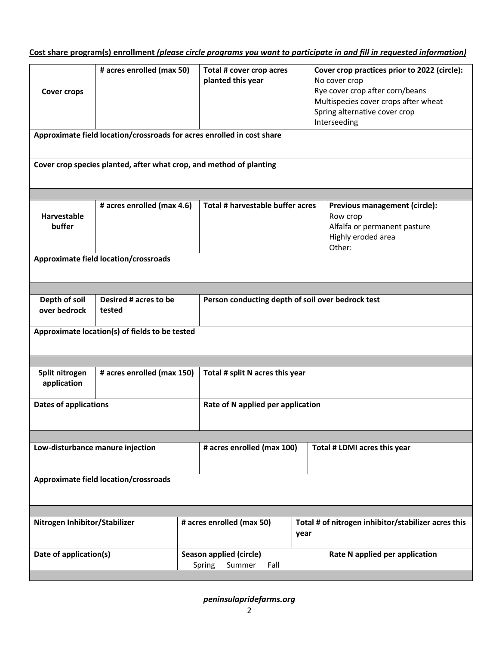## **Cost share program(s) enrollment** *(please circle programs you want to participate in and fill in requested information)*

| # acres enrolled (max 50)<br>Total # cover crop acres<br>Cover crop practices prior to 2022 (circle):<br>planted this year<br>No cover crop<br>Rye cover crop after corn/beans<br><b>Cover crops</b><br>Multispecies cover crops after wheat<br>Spring alternative cover crop<br>Interseeding<br>Approximate field location/crossroads for acres enrolled in cost share<br>Cover crop species planted, after what crop, and method of planting |                                                                                                       |                                   |                                  |                                |                                                                                                           |  |  |  |  |
|------------------------------------------------------------------------------------------------------------------------------------------------------------------------------------------------------------------------------------------------------------------------------------------------------------------------------------------------------------------------------------------------------------------------------------------------|-------------------------------------------------------------------------------------------------------|-----------------------------------|----------------------------------|--------------------------------|-----------------------------------------------------------------------------------------------------------|--|--|--|--|
|                                                                                                                                                                                                                                                                                                                                                                                                                                                |                                                                                                       |                                   |                                  |                                |                                                                                                           |  |  |  |  |
| Harvestable<br>buffer                                                                                                                                                                                                                                                                                                                                                                                                                          | # acres enrolled (max 4.6)                                                                            |                                   | Total # harvestable buffer acres |                                | Previous management (circle):<br>Row crop<br>Alfalfa or permanent pasture<br>Highly eroded area<br>Other: |  |  |  |  |
|                                                                                                                                                                                                                                                                                                                                                                                                                                                | <b>Approximate field location/crossroads</b>                                                          |                                   |                                  |                                |                                                                                                           |  |  |  |  |
|                                                                                                                                                                                                                                                                                                                                                                                                                                                |                                                                                                       |                                   |                                  |                                |                                                                                                           |  |  |  |  |
|                                                                                                                                                                                                                                                                                                                                                                                                                                                |                                                                                                       |                                   |                                  |                                |                                                                                                           |  |  |  |  |
|                                                                                                                                                                                                                                                                                                                                                                                                                                                |                                                                                                       |                                   |                                  |                                |                                                                                                           |  |  |  |  |
| over bedrock                                                                                                                                                                                                                                                                                                                                                                                                                                   | Depth of soil<br>Desired # acres to be<br>Person conducting depth of soil over bedrock test<br>tested |                                   |                                  |                                |                                                                                                           |  |  |  |  |
| Approximate location(s) of fields to be tested                                                                                                                                                                                                                                                                                                                                                                                                 |                                                                                                       |                                   |                                  |                                |                                                                                                           |  |  |  |  |
|                                                                                                                                                                                                                                                                                                                                                                                                                                                |                                                                                                       |                                   |                                  |                                |                                                                                                           |  |  |  |  |
| # acres enrolled (max 150)<br>Split nitrogen<br>application                                                                                                                                                                                                                                                                                                                                                                                    |                                                                                                       | Total # split N acres this year   |                                  |                                |                                                                                                           |  |  |  |  |
| <b>Dates of applications</b>                                                                                                                                                                                                                                                                                                                                                                                                                   |                                                                                                       | Rate of N applied per application |                                  |                                |                                                                                                           |  |  |  |  |
|                                                                                                                                                                                                                                                                                                                                                                                                                                                |                                                                                                       |                                   |                                  |                                |                                                                                                           |  |  |  |  |
| Low-disturbance manure injection                                                                                                                                                                                                                                                                                                                                                                                                               |                                                                                                       | # acres enrolled (max 100)        |                                  | Total # LDMI acres this year   |                                                                                                           |  |  |  |  |
| <b>Approximate field location/crossroads</b>                                                                                                                                                                                                                                                                                                                                                                                                   |                                                                                                       |                                   |                                  |                                |                                                                                                           |  |  |  |  |
|                                                                                                                                                                                                                                                                                                                                                                                                                                                |                                                                                                       |                                   |                                  |                                |                                                                                                           |  |  |  |  |
| Nitrogen Inhibitor/Stabilizer                                                                                                                                                                                                                                                                                                                                                                                                                  |                                                                                                       |                                   | # acres enrolled (max 50)        | year                           | Total # of nitrogen inhibitor/stabilizer acres this                                                       |  |  |  |  |
| Date of application(s)<br>Season applied (circle)<br>Spring<br>Summer<br>Fall                                                                                                                                                                                                                                                                                                                                                                  |                                                                                                       |                                   |                                  | Rate N applied per application |                                                                                                           |  |  |  |  |